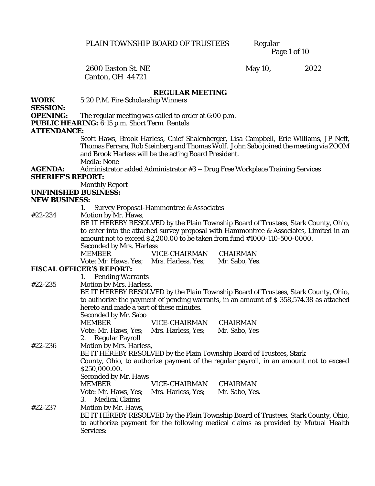Page 1 of 10

# Canton, OH 44721

2600 Easton St. NE May 10, 2022

## **REGULAR MEETING**

**WORK**  5:20 P.M. Fire Scholarship Winners

**SESSION:**

**OPENING:** The regular meeting was called to order at 6:00 p.m.

**PUBLIC HEARING:** 6:15 p.m. Short Term Rentals

## **ATTENDANCE:**

Scott Haws, Brook Harless, Chief Shalenberger, Lisa Campbell, Eric Williams, JP Neff, Thomas Ferrara, Rob Steinberg and Thomas Wolf. John Sabo joined the meeting via ZOOM and Brook Harless will be the acting Board President. Media: None

**AGENDA:** Administrator added Administrator #3 – Drug Free Workplace Training Services **SHERIFF'S REPORT:** 

Monthly Report

**UNFINISHED BUSINESS:** 

#### **NEW BUSINESS:**

1. Survey Proposal-Hammontree & Associates

#22-234 Motion by Mr. Haws,

BE IT HEREBY RESOLVED by the Plain Township Board of Trustees, Stark County, Ohio, to enter into the attached survey proposal with Hammontree & Associates, Limited in an amount not to exceed \$2,200.00 to be taken from fund #1000-110-500-0000. Seconded by Mrs. Harless MEMBER VICE-CHAIRMAN CHAIRMAN

Vote: Mr. Haws, Yes; Mrs. Harless, Yes; Mr. Sabo, Yes.

## **FISCAL OFFICER'S REPORT:**

1. Pending Warrants #22-235 Motion by Mrs. Harless, BE IT HEREBY RESOLVED by the Plain Township Board of Trustees, Stark County, Ohio, to authorize the payment of pending warrants, in an amount of \$ 358,574.38 as attached hereto and made a part of these minutes. Seconded by Mr. Sabo MEMBER VICE-CHAIRMAN CHAIRMAN Vote: Mr. Haws, Yes; Mrs. Harless, Yes; Mr. Sabo, Yes 2. Regular Payroll #22-236 Motion by Mrs. Harless, BE IT HEREBY RESOLVED by the Plain Township Board of Trustees, Stark County, Ohio, to authorize payment of the regular payroll, in an amount not to exceed \$250,000.00. Seconded by Mr. Haws MEMBER VICE-CHAIRMAN CHAIRMAN<br>Vote: Mr. Haws, Yes: Mrs. Harless, Yes: Mr. Sabo, Yes. Vote: Mr. Haws, Yes; Mrs. Harless, Yes; 3. Medical Claims #22-237 Motion by Mr. Haws, BE IT HEREBY RESOLVED by the Plain Township Board of Trustees, Stark County, Ohio, to authorize payment for the following medical claims as provided by Mutual Health Services: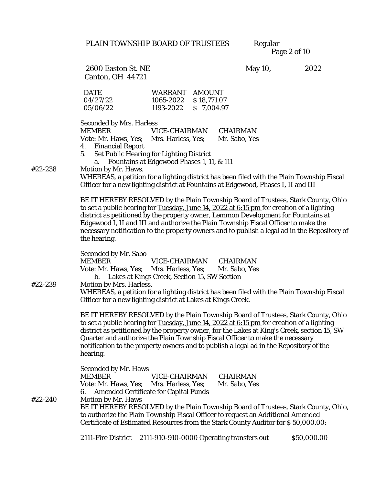Page 2 of 10

Canton, OH 44721

2600 Easton St. NE May 10, 2022

| <b>DATE</b> | WARRANT AMOUNT        |  |
|-------------|-----------------------|--|
| 04/27/22    | 1065-2022 \$18,771.07 |  |
| 05/06/22    | 1193-2022 \$7.004.97  |  |

Seconded by Mrs. Harless MEMBER VICE-CHAIRMAN CHAIRMAN Vote: Mr. Haws, Yes; Mrs. Harless, Yes; Mr. Sabo, Yes 4. Financial Report 5. Set Public Hearing for Lighting District a. Fountains at Edgewood Phases 1, 11, & 111 #22-238 Motion by Mr. Haws. WHEREAS, a petition for a lighting district has been filed with the Plain Township Fiscal Officer for a new lighting district at Fountains at Edgewood, Phases I, II and III BE IT HEREBY RESOLVED by the Plain Township Board of Trustees, Stark County, Ohio to set a public hearing for Tuesday, June 14, 2022 at 6:15 pm for creation of a lighting district as petitioned by the property owner, Lemmon Development for Fountains at Edgewood I, II and III and authorize the Plain Township Fiscal Officer to make the necessary notification to the property owners and to publish a legal ad in the Repository of the hearing. Seconded by Mr. Sabo MEMBER VICE-CHAIRMAN CHAIRMAN Vote: Mr. Haws, Yes; Mrs. Harless, Yes; Mr. Sabo, Yes b. Lakes at Kings Creek, Section 15, SW Section #22-239 Motion by Mrs. Harless. WHEREAS, a petition for a lighting district has been filed with the Plain Township Fiscal Officer for a new lighting district at Lakes at Kings Creek. BE IT HEREBY RESOLVED by the Plain Township Board of Trustees, Stark County, Ohio to set a public hearing for Tuesday, June 14, 2022 at 6:15 pm for creation of a lighting district as petitioned by the property owner, for the Lakes at King's Creek, section 15, SW Quarter and authorize the Plain Township Fiscal Officer to make the necessary notification to the property owners and to publish a legal ad in the Repository of the hearing. Seconded by Mr. Haws MEMBER VICE-CHAIRMAN CHAIRMAN Vote: Mr. Haws, Yes; Mrs. Harless, Yes; Mr. Sabo, Yes 6. Amended Certificate for Capital Funds #22-240 Motion by Mr. Haws BE IT HEREBY RESOLVED by the Plain Township Board of Trustees, Stark County, Ohio, to authorize the Plain Township Fiscal Officer to request an Additional Amended Certificate of Estimated Resources from the Stark County Auditor for \$ 50,000.00: 2111-Fire District 2111-910-910-0000 Operating transfers out \$50,000.00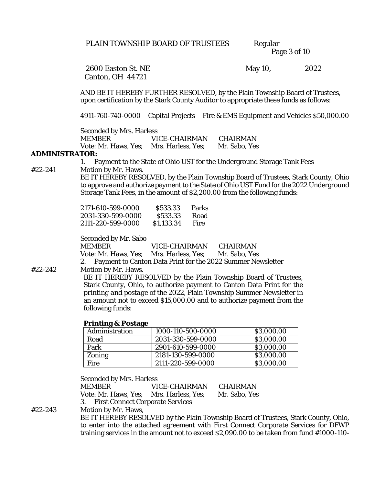Page 3 of 10

Canton, OH 44721

2600 Easton St. NE May 10, 2022

AND BE IT HEREBY FURTHER RESOLVED, by the Plain Township Board of Trustees, upon certification by the Stark County Auditor to appropriate these funds as follows:

4911-760-740-0000 – Capital Projects – Fire & EMS Equipment and Vehicles \$50,000.00

Seconded by Mrs. Harless

MEMBER VICE-CHAIRMAN CHAIRMAN Vote: Mr. Haws, Yes; Mrs. Harless, Yes; Mr. Sabo, Yes

#### **ADMINISTRATOR:**

1. Payment to the State of Ohio UST for the Underground Storage Tank Fees

#22-241 Motion by Mr. Haws.

BE IT HEREBY RESOLVED, by the Plain Township Board of Trustees, Stark County, Ohio to approve and authorize payment to the State of Ohio UST Fund for the 2022 Underground Storage Tank Fees, in the amount of \$2,200.00 from the following funds:

| 2171-610-599-0000 | \$533.33   | Parks |
|-------------------|------------|-------|
| 2031-330-599-0000 | \$533.33   | Road  |
| 2111-220-599-0000 | \$1.133.34 | Fire  |

Seconded by Mr. Sabo

MEMBER VICE-CHAIRMAN CHAIRMAN Vote: Mr. Haws, Yes; Mrs. Harless, Yes; Mr. Sabo, Yes 2. Payment to Canton Data Print for the 2022 Summer Newsletter

#22-242 Motion by Mr. Haws.

BE IT HEREBY RESOLVED by the Plain Township Board of Trustees, Stark County, Ohio, to authorize payment to Canton Data Print for the *printing and postage* of the 2022, Plain Township Summer Newsletter in an amount not to exceed \$15,000.00 and to authorize payment from the following funds:

#### **Printing & Postage**

| Administration | 1000-110-500-0000 | \$3,000.00 |
|----------------|-------------------|------------|
| Road           | 2031-330-599-0000 | \$3,000.00 |
| Park           | 2901-610-599-0000 | \$3,000.00 |
| Zonina         | 2181-130-599-0000 | \$3,000.00 |
| Fire           | 2111-220-599-0000 | \$3,000.00 |

Seconded by Mrs. Harless

MEMBER VICE-CHAIRMAN CHAIRMAN Vote: Mr. Haws, Yes; Mrs. Harless, Yes; Mr. Sabo, Yes 3. First Connect Corporate Services

#22-243 Motion by Mr. Haws,

BE IT HEREBY RESOLVED by the Plain Township Board of Trustees, Stark County, Ohio, to enter into the attached agreement with First Connect Corporate Services for DFWP training services in the amount not to exceed \$2,090.00 to be taken from fund #1000-110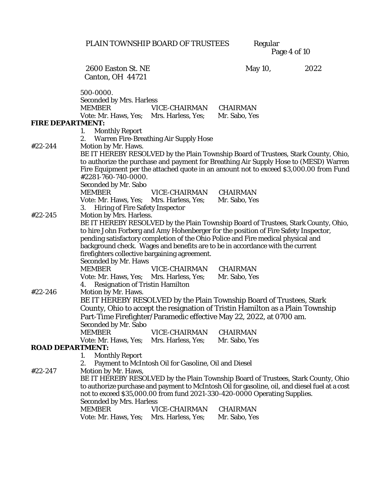PLAIN TOWNSHIP BOARD OF TRUSTEES

Regular<br>Page 4 of 10

|                  | 2600 Easton St. NE                                            |                                                      | May 10,                                                                                        | 2022 |
|------------------|---------------------------------------------------------------|------------------------------------------------------|------------------------------------------------------------------------------------------------|------|
|                  | Canton, OH 44721                                              |                                                      |                                                                                                |      |
|                  |                                                               |                                                      |                                                                                                |      |
|                  | 500-0000.                                                     |                                                      |                                                                                                |      |
|                  | Seconded by Mrs. Harless<br><b>MEMBER</b>                     | VICE-CHAIRMAN                                        |                                                                                                |      |
|                  | Vote: Mr. Haws, Yes; Mrs. Harless, Yes;                       |                                                      | CHAIRMAN<br>Mr. Sabo, Yes                                                                      |      |
| FIRE DEPARTMENT: |                                                               |                                                      |                                                                                                |      |
|                  | Monthly Report<br>1.                                          |                                                      |                                                                                                |      |
|                  | 2.                                                            | Warren Fire-Breathing Air Supply Hose                |                                                                                                |      |
| #22-244          | Motion by Mr. Haws.                                           |                                                      |                                                                                                |      |
|                  |                                                               |                                                      | BE IT HEREBY RESOLVED by the Plain Township Board of Trustees, Stark County, Ohio,             |      |
|                  |                                                               |                                                      | to authorize the purchase and payment for Breathing Air Supply Hose to (MESD) Warren           |      |
|                  |                                                               |                                                      | Fire Equipment per the attached quote in an amount not to exceed \$3,000.00 from Fund          |      |
|                  | #2281-760-740-0000.                                           |                                                      |                                                                                                |      |
|                  | Seconded by Mr. Sabo                                          |                                                      |                                                                                                |      |
|                  | <b>MEMBER</b>                                                 | VICE-CHAIRMAN                                        | CHAIRMAN                                                                                       |      |
|                  | Vote: Mr. Haws, Yes; Mrs. Harless, Yes;                       |                                                      | Mr. Sabo, Yes                                                                                  |      |
| #22-245          | 3. Hiring of Fire Safety Inspector<br>Motion by Mrs. Harless. |                                                      |                                                                                                |      |
|                  |                                                               |                                                      | BE IT HEREBY RESOLVED by the Plain Township Board of Trustees, Stark County, Ohio,             |      |
|                  |                                                               |                                                      | to hire John Forberg and Amy Hohenberger for the position of Fire Safety Inspector,            |      |
|                  |                                                               |                                                      | pending satisfactory completion of the Ohio Police and Fire medical physical and               |      |
|                  |                                                               |                                                      | background check. Wages and benefits are to be in accordance with the current                  |      |
|                  | firefighters collective bargaining agreement.                 |                                                      |                                                                                                |      |
|                  | Seconded by Mr. Haws                                          |                                                      |                                                                                                |      |
|                  | MEMBER                                                        | VICE-CHAIRMAN                                        | CHAIRMAN                                                                                       |      |
|                  | Vote: Mr. Haws, Yes; Mrs. Harless, Yes;                       |                                                      | Mr. Sabo, Yes                                                                                  |      |
|                  | Resignation of Tristin Hamilton<br>4.                         |                                                      |                                                                                                |      |
| #22-246          | Motion by Mr. Haws.                                           |                                                      |                                                                                                |      |
|                  |                                                               |                                                      | BE IT HEREBY RESOLVED by the Plain Township Board of Trustees, Stark                           |      |
|                  |                                                               |                                                      | County, Ohio to accept the resignation of Tristin Hamilton as a Plain Township                 |      |
|                  |                                                               |                                                      | Part-Time Firefighter/Paramedic effective May 22, 2022, at 0700 am.                            |      |
|                  | Seconded by Mr. Sabo<br><b>MEMBER</b>                         | VICE-CHAIRMAN                                        | CHAIRMAN                                                                                       |      |
|                  | Vote: Mr. Haws, Yes; Mrs. Harless, Yes; Mr. Sabo, Yes         |                                                      |                                                                                                |      |
| ROAD DEPARTMENT: |                                                               |                                                      |                                                                                                |      |
|                  | Monthly Report<br>1.                                          |                                                      |                                                                                                |      |
|                  | 2.                                                            | Payment to McIntosh Oil for Gasoline, Oil and Diesel |                                                                                                |      |
| #22-247          | Motion by Mr. Haws,                                           |                                                      |                                                                                                |      |
|                  |                                                               |                                                      | BE IT HEREBY RESOLVED by the Plain Township Board of Trustees, Stark County, Ohio              |      |
|                  |                                                               |                                                      | to authorize purchase and payment to McIntosh Oil for gasoline, oil, and diesel fuel at a cost |      |
|                  |                                                               |                                                      | not to exceed \$35,000.00 from fund 2021-330-420-0000 Operating Supplies.                      |      |
|                  | Seconded by Mrs. Harless                                      |                                                      |                                                                                                |      |
|                  | <b>MEMBER</b>                                                 | VICE-CHAIRMAN                                        | CHAIRMAN                                                                                       |      |
|                  | Vote: Mr. Haws, Yes;                                          | Mrs. Harless, Yes;                                   | Mr. Sabo, Yes                                                                                  |      |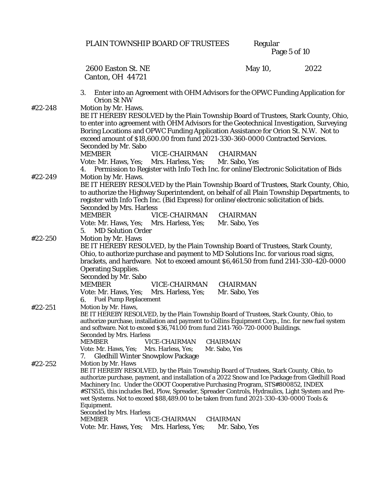|         | PLAIN TOWNSHIP BOARD OF TRUSTEES                                                                                                                                                                                                                                                                                                                                                                                                                                                                                                                                                                                    | Regular<br>Page 5 of 10   |      |
|---------|---------------------------------------------------------------------------------------------------------------------------------------------------------------------------------------------------------------------------------------------------------------------------------------------------------------------------------------------------------------------------------------------------------------------------------------------------------------------------------------------------------------------------------------------------------------------------------------------------------------------|---------------------------|------|
|         | 2600 Easton St. NE<br>Canton, OH 44721                                                                                                                                                                                                                                                                                                                                                                                                                                                                                                                                                                              | May 10,                   | 2022 |
|         | 3.<br>Enter into an Agreement with OHM Advisors for the OPWC Funding Application for<br>Orion St NW                                                                                                                                                                                                                                                                                                                                                                                                                                                                                                                 |                           |      |
| #22-248 | Motion by Mr. Haws.<br>BE IT HEREBY RESOLVED by the Plain Township Board of Trustees, Stark County, Ohio,<br>to enter into agreement with OHM Advisors for the Geotechnical Investigation, Surveying<br>Boring Locations and OPWC Funding Application Assistance for Orion St. N.W. Not to<br>exceed amount of \$18,600.00 from fund 2021-330-360-0000 Contracted Services.<br>Seconded by Mr. Sabo<br>VICE-CHAIRMAN<br><b>MEMBER</b>                                                                                                                                                                               | CHAIRMAN                  |      |
|         | Vote: Mr. Haws, Yes; Mrs. Harless, Yes; Mr. Sabo, Yes<br>Permission to Register with Info Tech Inc. for online/Electronic Solicitation of Bids<br>4.                                                                                                                                                                                                                                                                                                                                                                                                                                                                |                           |      |
| #22-249 | Motion by Mr. Haws.<br>BE IT HEREBY RESOLVED by the Plain Township Board of Trustees, Stark County, Ohio,<br>to authorize the Highway Superintendent, on behalf of all Plain Township Departments, to<br>register with Info Tech Inc. (Bid Express) for online/electronic solicitation of bids.<br>Seconded by Mrs. Harless<br><b>MEMBER</b><br>VICE-CHAIRMAN<br>Vote: Mr. Haws, Yes; Mrs. Harless, Yes;                                                                                                                                                                                                            | CHAIRMAN<br>Mr. Sabo, Yes |      |
|         | <b>MD Solution Order</b><br>5.                                                                                                                                                                                                                                                                                                                                                                                                                                                                                                                                                                                      |                           |      |
| #22-250 | Motion by Mr. Haws<br>BE IT HEREBY RESOLVED, by the Plain Township Board of Trustees, Stark County,<br>Ohio, to authorize purchase and payment to MD Solutions Inc. for various road signs,<br>brackets, and hardware. Not to exceed amount \$6,461.50 from fund 2141-330-420-0000<br>Operating Supplies.<br>Seconded by Mr. Sabo<br>VICE-CHAIRMAN<br><b>MEMBER</b><br>Vote: Mr. Haws, Yes; Mrs. Harless, Yes;<br>Fuel Pump Replacement<br>6.                                                                                                                                                                       | CHAIRMAN<br>Mr. Sabo, Yes |      |
| #22-251 | Motion by Mr. Haws,<br>BE IT HEREBY RESOLVED, by the Plain Township Board of Trustees, Stark County, Ohio, to<br>authorize purchase, installation and payment to Collins Equipment Corp., Inc. for new fuel system<br>and software. Not to exceed \$36,741.00 from fund 2141-760-720-0000 Buildings.<br>Seconded by Mrs. Harless<br>VICE-CHAIRMAN<br>MEMBER<br>Vote: Mr. Haws, Yes;<br>Mrs. Harless, Yes;<br>Gledhill Winter Snowplow Package<br>$\frac{1}{2}$                                                                                                                                                      | CHAIRMAN<br>Mr. Sabo, Yes |      |
| #22-252 | Motion by Mr. Haws<br>BE IT HEREBY RESOLVED, by the Plain Township Board of Trustees, Stark County, Ohio, to<br>authorize purchase, payment, and installation of a 2022 Snow and Ice Package from Gledhill Road<br>Machinery Inc. Under the ODOT Cooperative Purchasing Program, STS#800852, INDEX<br>#STS515, this includes Bed, Plow, Spreader, Spreader Controls, Hydraulics, Light System and Pre-<br>wet Systems. Not to exceed \$88,489.00 to be taken from fund 2021-330-430-0000 Tools &<br>Equipment.<br>Seconded by Mrs. Harless<br>VICE-CHAIRMAN<br>MEMBER<br>Vote: Mr. Haws, Yes;<br>Mrs. Harless, Yes; | CHAIRMAN<br>Mr. Sabo, Yes |      |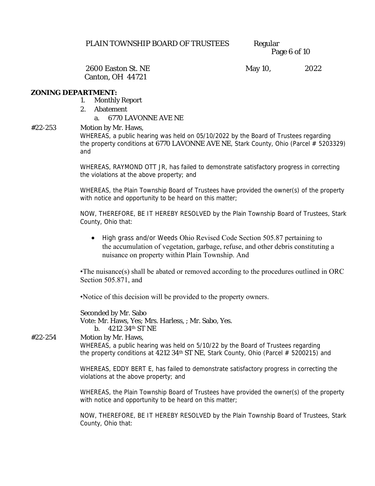Page 6 of 10

Canton, OH 44721

2600 Easton St. NE May 10, 2022

#### **ZONING DEPARTMENT:**

- 1. Monthly Report
- 2. Abatement
	- a. 6770 LAVONNE AVE NE
- #22-253 Motion by Mr. Haws, WHEREAS, a public hearing was held on 05/10/2022 by the Board of Trustees regarding the property conditions at 6770 LAVONNE AVE NE, Stark County, Ohio (Parcel # 5203329) and

WHEREAS, RAYMOND OTT JR, has failed to demonstrate satisfactory progress in correcting the violations at the above property; and

WHEREAS, the Plain Township Board of Trustees have provided the owner(s) of the property with notice and opportunity to be heard on this matter;

NOW, THEREFORE, BE IT HEREBY RESOLVED by the Plain Township Board of Trustees, Stark County, Ohio that:

• High grass and/or Weeds Ohio Revised Code Section 505.87 pertaining to the accumulation of vegetation, garbage, refuse, and other debris constituting a nuisance on property within Plain Township. And

•The nuisance(s) shall be abated or removed according to the procedures outlined in ORC Section 505.871, and

•Notice of this decision will be provided to the property owners.

Seconded by Mr. Sabo Vote: Mr. Haws, Yes; Mrs. Harless, ; Mr. Sabo, Yes. b. 4212 34th ST NE

#22-254 Motion by Mr. Haws,

WHEREAS, a public hearing was held on 5/10/22 by the Board of Trustees regarding the property conditions at 4212 34<sup>th</sup> ST NE, Stark County, Ohio (Parcel  $#$  5200215) and

WHEREAS, EDDY BERT E, has failed to demonstrate satisfactory progress in correcting the violations at the above property; and

WHEREAS, the Plain Township Board of Trustees have provided the owner(s) of the property with notice and opportunity to be heard on this matter;

NOW, THEREFORE, BE IT HEREBY RESOLVED by the Plain Township Board of Trustees, Stark County, Ohio that: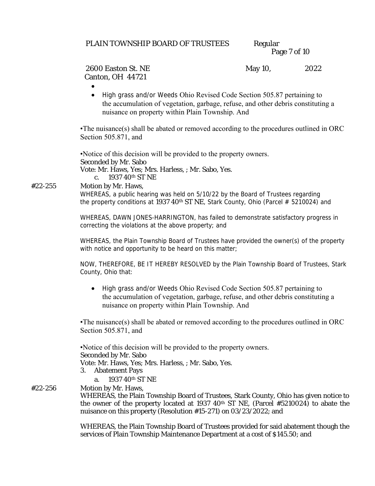| PLAIN TOWNSHIP BOARD OF TRUSTEES | Regular      |
|----------------------------------|--------------|
|                                  | Page 7 of 10 |

## Canton, OH 44721

2600 Easton St. NE May 10, 2022

•

• High grass and/or Weeds Ohio Revised Code Section 505.87 pertaining to the accumulation of vegetation, garbage, refuse, and other debris constituting a nuisance on property within Plain Township. And

•The nuisance(s) shall be abated or removed according to the procedures outlined in ORC Section 505.871, and

•Notice of this decision will be provided to the property owners.

Seconded by Mr. Sabo Vote: Mr. Haws, Yes; Mrs. Harless, ; Mr. Sabo, Yes. c. 1937 40th ST NE

#22-255 Motion by Mr. Haws,

WHEREAS, a public hearing was held on 5/10/22 by the Board of Trustees regarding the property conditions at 1937 40<sup>th</sup> ST NE, Stark County, Ohio (Parcel  $# 5210024$ ) and

WHEREAS, DAWN JONES-HARRINGTON, has failed to demonstrate satisfactory progress in correcting the violations at the above property; and

WHEREAS, the Plain Township Board of Trustees have provided the owner(s) of the property with notice and opportunity to be heard on this matter;

NOW, THEREFORE, BE IT HEREBY RESOLVED by the Plain Township Board of Trustees, Stark County, Ohio that:

• High grass and/or Weeds Ohio Revised Code Section 505.87 pertaining to the accumulation of vegetation, garbage, refuse, and other debris constituting a nuisance on property within Plain Township. And

•The nuisance(s) shall be abated or removed according to the procedures outlined in ORC Section 505.871, and

## •Notice of this decision will be provided to the property owners.

Seconded by Mr. Sabo

Vote: Mr. Haws, Yes; Mrs. Harless, ; Mr. Sabo, Yes.

- 3. Abatement Pays
	- a. 1937 40th ST NE
- #22-256 Motion by Mr. Haws,

WHEREAS, the Plain Township Board of Trustees, Stark County, Ohio has given notice to the owner of the property located at 1937 40th ST NE, (Parcel #5210024) to abate the nuisance on this property (Resolution #15-271) on 03/23/2022; and

WHEREAS, the Plain Township Board of Trustees provided for said abatement though the services of Plain Township Maintenance Department at a cost of \$145.50; and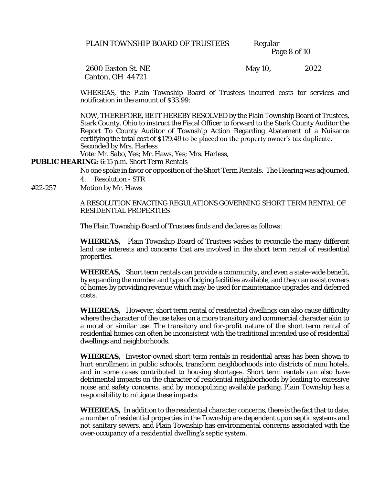Page 8 of 10

Canton, OH 44721

2600 Easton St. NE May 10, 2022

WHEREAS, the Plain Township Board of Trustees incurred costs for services and notification in the amount of \$33.99;

NOW, THEREFORE, BE IT HEREBY RESOLVED by the Plain Township Board of Trustees, Stark County, Ohio to instruct the Fiscal Officer to forward to the Stark County Auditor the Report To County Auditor of Township Action Regarding Abatement of a Nuisance certifying the total cost of \$179.49 to be placed on the property owner's tax duplicate. Seconded by Mrs. Harless

Vote: Mr. Sabo, Yes; Mr. Haws, Yes; Mrs. Harless,

**PUBLIC HEARING:** 6:15 p.m. Short Term Rentals

No one spoke in favor or opposition of the Short Term Rentals. The Hearing was adjourned. 4. Resolution - STR

#22-257 Motion by Mr. Haws

A RESOLUTION ENACTING REGULATIONS GOVERNING SHORT TERM RENTAL OF RESIDENTIAL PROPERTIES

The Plain Township Board of Trustees finds and declares as follows:

**WHEREAS,** Plain Township Board of Trustees wishes to reconcile the many different land use interests and concerns that are involved in the short term rental of residential properties.

**WHEREAS,** Short term rentals can provide a community, and even a state-wide benefit, by expanding the number and type of lodging facilities available, and they can assist owners of homes by providing revenue which may be used for maintenance upgrades and deferred costs.

**WHEREAS,** However, short term rental of residential dwellings can also cause difficulty where the character of the use takes on a more transitory and commercial character akin to a motel or similar use. The transitory and for-profit nature of the short term rental of residential homes can often be inconsistent with the traditional intended use of residential dwellings and neighborhoods.

**WHEREAS,** Investor-owned short term rentals in residential areas has been shown to hurt enrollment in public schools, transform neighborhoods into districts of mini hotels, and in some cases contributed to housing shortages. Short term rentals can also have detrimental impacts on the character of residential neighborhoods by leading to excessive noise and safety concerns, and by monopolizing available parking. Plain Township has a responsibility to mitigate these impacts.

**WHEREAS,** In addition to the residential character concerns, there is the fact that to date, a number of residential properties in the Township are dependent upon septic systems and not sanitary sewers, and Plain Township has environmental concerns associated with the over-occupancy of a residential dwelling's septic system.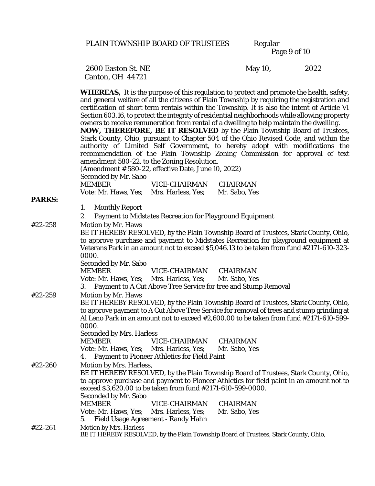Page 9 of 10

Canton, OH 44721

2600 Easton St. NE May 10, 2022

**WHEREAS,** It is the purpose of this regulation to protect and promote the health, safety, and general welfare of all the citizens of Plain Township by requiring the registration and certification of short term rentals within the Township. It is also the intent of Article VI Section 603.16, to protect the integrity of residential neighborhoods while allowing property owners to receive remuneration from rental of a dwelling to help maintain the dwelling. **NOW, THEREFORE, BE IT RESOLVED** by the Plain Township Board of Trustees, Stark County, Ohio, pursuant to Chapter 504 of the Ohio Revised Code, and within the authority of Limited Self Government, to hereby adopt with modifications the recommendation of the Plain Township Zoning Commission for approval of text amendment 580-22, to the Zoning Resolution. (Amendment # 580-22, effective Date, June 10, 2022) Seconded by Mr. Sabo MEMBER VICE-CHAIRMAN CHAIRMAN Vote: Mr. Haws, Yes; Mrs. Harless, Yes; Mr. Sabo, Yes **PARKS:** 1. Monthly Report 2. Payment to Midstates Recreation for Playground Equipment #22-258 Motion by Mr. Haws BE IT HEREBY RESOLVED, by the Plain Township Board of Trustees, Stark County, Ohio, to approve purchase and payment to Midstates Recreation for playground equipment at Veterans Park in an amount not to exceed \$5,046.13 to be taken from fund #2171-610-323- 0000. Seconded by Mr. Sabo MEMBER VICE-CHAIRMAN CHAIRMAN Vote: Mr. Haws, Yes; Mrs. Harless, Yes; Mr. Sabo, Yes 3. Payment to A Cut Above Tree Service for tree and Stump Removal #22-259 Motion by Mr. Haws BE IT HEREBY RESOLVED, by the Plain Township Board of Trustees, Stark County, Ohio, to approve payment to A Cut Above Tree Service for removal of trees and stump grinding at Al Leno Park in an amount not to exceed #2,600.00 to be taken from fund #2171-610-599- 0000. Seconded by Mrs. Harless MEMBER VICE-CHAIRMAN CHAIRMAN Vote: Mr. Haws, Yes; Mrs. Harless, Yes; Mr. Sabo, Yes 4. Payment to Pioneer Athletics for Field Paint #22-260 Motion by Mrs. Harless, BE IT HEREBY RESOLVED, by the Plain Township Board of Trustees, Stark County, Ohio, to approve purchase and payment to Pioneer Athletics for field paint in an amount not to exceed \$3,620.00 to be taken from fund #2171-610-599-0000. Seconded by Mr. Sabo MEMBER VICE-CHAIRMAN CHAIRMAN Vote: Mr. Haws, Yes; Mrs. Harless, Yes; Mr. Sabo, Yes 5. Field Usage Agreement - Randy Hahn #22-261 Motion by Mrs. Harless BE IT HEREBY RESOLVED, by the Plain Township Board of Trustees, Stark County, Ohio,